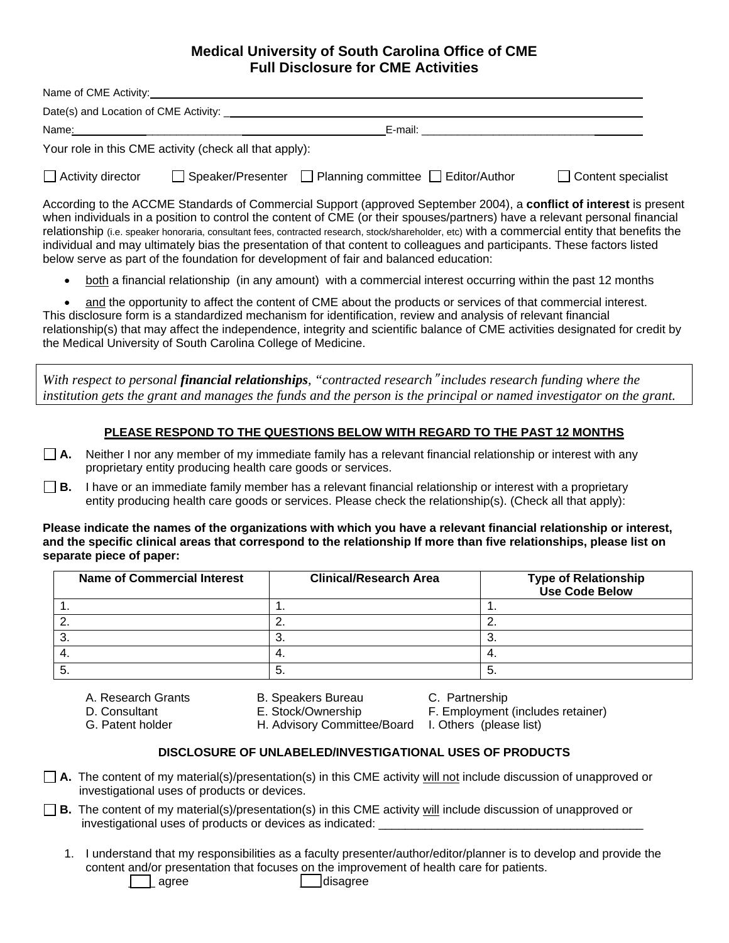# **Medical University of South Carolina Office of CME Full Disclosure for CME Activities**

| Name of CME Activity:                                                                                                                                                                                                                                                                                                                                                                                                                                                                                                                                                                                                                                                                                                                                  |                                                          |                    |  |  |
|--------------------------------------------------------------------------------------------------------------------------------------------------------------------------------------------------------------------------------------------------------------------------------------------------------------------------------------------------------------------------------------------------------------------------------------------------------------------------------------------------------------------------------------------------------------------------------------------------------------------------------------------------------------------------------------------------------------------------------------------------------|----------------------------------------------------------|--------------------|--|--|
|                                                                                                                                                                                                                                                                                                                                                                                                                                                                                                                                                                                                                                                                                                                                                        |                                                          |                    |  |  |
|                                                                                                                                                                                                                                                                                                                                                                                                                                                                                                                                                                                                                                                                                                                                                        |                                                          |                    |  |  |
|                                                                                                                                                                                                                                                                                                                                                                                                                                                                                                                                                                                                                                                                                                                                                        | Your role in this CME activity (check all that apply):   |                    |  |  |
| $\Box$ Activity director                                                                                                                                                                                                                                                                                                                                                                                                                                                                                                                                                                                                                                                                                                                               | □ Speaker/Presenter □ Planning committee □ Editor/Author | Content specialist |  |  |
| According to the ACCME Standards of Commercial Support (approved September 2004), a conflict of interest is present<br>when individuals in a position to control the content of CME (or their spouses/partners) have a relevant personal financial<br>relationship (i.e. speaker honoraria, consultant fees, contracted research, stock/shareholder, etc) with a commercial entity that benefits the<br>individual and may ultimately bias the presentation of that content to colleagues and participants. These factors listed<br>below serve as part of the foundation for development of fair and balanced education:<br>both a financial relationship (in any amount) with a commercial interest occurring within the past 12 months<br>$\bullet$ |                                                          |                    |  |  |

• and the opportunity to affect the content of CME about the products or services of that commercial interest. This disclosure form is a standardized mechanism for identification, review and analysis of relevant financial relationship(s) that may affect the independence, integrity and scientific balance of CME activities designated for credit by the Medical University of South Carolina College of Medicine.

*With respect to personal financial relationships, "contracted research*" *includes research funding where the institution gets the grant and manages the funds and the person is the principal or named investigator on the grant.*

## **PLEASE RESPOND TO THE QUESTIONS BELOW WITH REGARD TO THE PAST 12 MONTHS**

 $\Box$  **A.** Neither I nor any member of my immediate family has a relevant financial relationship or interest with any proprietary entity producing health care goods or services.

 $\Box$  **B.** I have or an immediate family member has a relevant financial relationship or interest with a proprietary entity producing health care goods or services. Please check the relationship(s). (Check all that apply):

## **Please indicate the names of the organizations with which you have a relevant financial relationship or interest, and the specific clinical areas that correspond to the relationship If more than five relationships, please list on separate piece of paper:**

| Name of Commercial Interest | <b>Clinical/Research Area</b> | <b>Type of Relationship</b><br>Use Code Below |
|-----------------------------|-------------------------------|-----------------------------------------------|
| . .                         |                               | . .                                           |
| <u>.</u>                    | <u>_</u>                      | <u>.</u>                                      |
| J.                          | ີ                             |                                               |
| 4.                          | т.                            | ᠇.                                            |
| J.                          | C                             | J.                                            |

- A. Research Grants **B. Speakers Bureau** C. Partnership
	-
- 

D. Consultant E. Stock/Ownership F. Employment (includes retainer)

G. Patent holder **H. Advisory Committee/Board** I. Others (please list)

# **DISCLOSURE OF UNLABELED/INVESTIGATIONAL USES OF PRODUCTS**

- □ A. The content of my material(s)/presentation(s) in this CME activity will not include discussion of unapproved or investigational uses of products or devices.
- **B.** The content of my material(s)/presentation(s) in this CME activity will include discussion of unapproved or investigational uses of products or devices as indicated:
	- 1. I understand that my responsibilities as a faculty presenter/author/editor/planner is to develop and provide the content and/or presentation that focuses on the improvement of health care for patients. agree **disagree** disagree